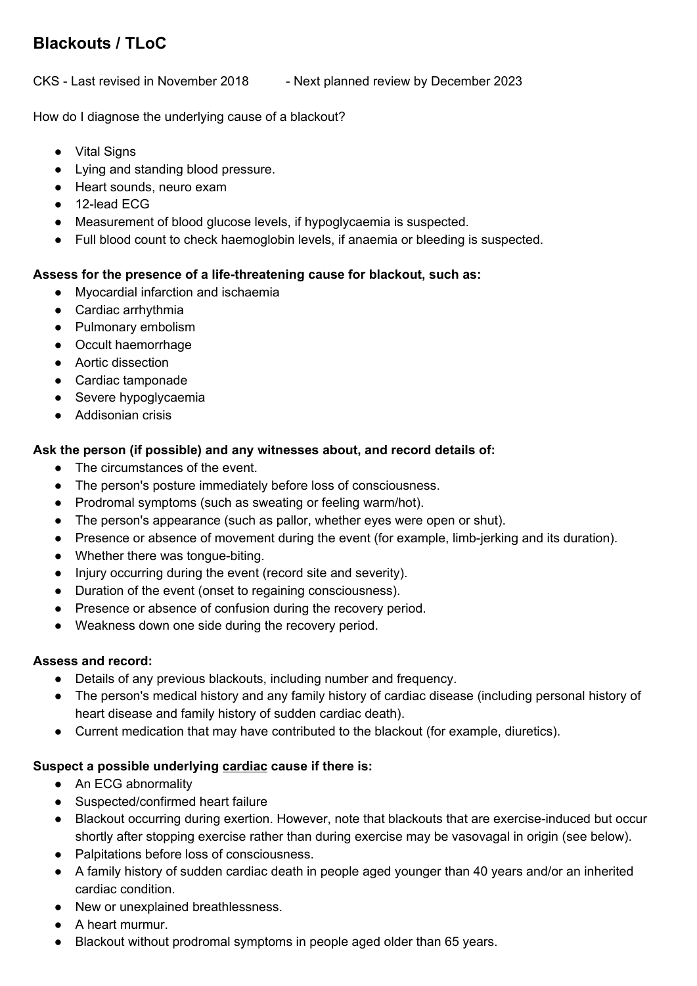# **Blackouts / TLoC**

CKS - Last revised in November 2018 - Next planned review by December 2023

How do I diagnose the underlying cause of a blackout?

- Vital Signs
- Lying and standing blood pressure.
- Heart sounds, neuro exam
- 12-lead ECG
- Measurement of blood glucose levels, if hypoglycaemia is suspected.
- Full blood count to check haemoglobin levels, if anaemia or bleeding is suspected.

## **Assess for the presence of a life-threatening cause for blackout, such as:**

- Myocardial infarction and ischaemia
- Cardiac arrhythmia
- Pulmonary embolism
- Occult haemorrhage
- Aortic dissection
- Cardiac tamponade
- Severe hypoglycaemia
- Addisonian crisis

## **Ask the person (if possible) and any witnesses about, and record details of:**

- The circumstances of the event.
- The person's posture immediately before loss of consciousness.
- Prodromal symptoms (such as sweating or feeling warm/hot).
- The person's appearance (such as pallor, whether eyes were open or shut).
- Presence or absence of movement during the event (for example, limb-jerking and its duration).
- Whether there was tongue-biting.
- Injury occurring during the event (record site and severity).
- Duration of the event (onset to regaining consciousness).
- Presence or absence of confusion during the recovery period.
- Weakness down one side during the recovery period.

### **Assess and record:**

- Details of any previous blackouts, including number and frequency.
- The person's medical history and any family history of cardiac disease (including personal history of heart disease and family history of sudden cardiac death).
- Current medication that may have contributed to the blackout (for example, diuretics).

### **Suspect a possible underlying cardiac cause if there is:**

- An ECG abnormality
- Suspected/confirmed heart failure
- Blackout occurring during exertion. However, note that blackouts that are exercise-induced but occur shortly after stopping exercise rather than during exercise may be vasovagal in origin (see below).
- Palpitations before loss of consciousness.
- A family history of sudden cardiac death in people aged younger than 40 years and/or an inherited cardiac condition.
- New or unexplained breathlessness.
- A heart murmur.
- Blackout without prodromal symptoms in people aged older than 65 years.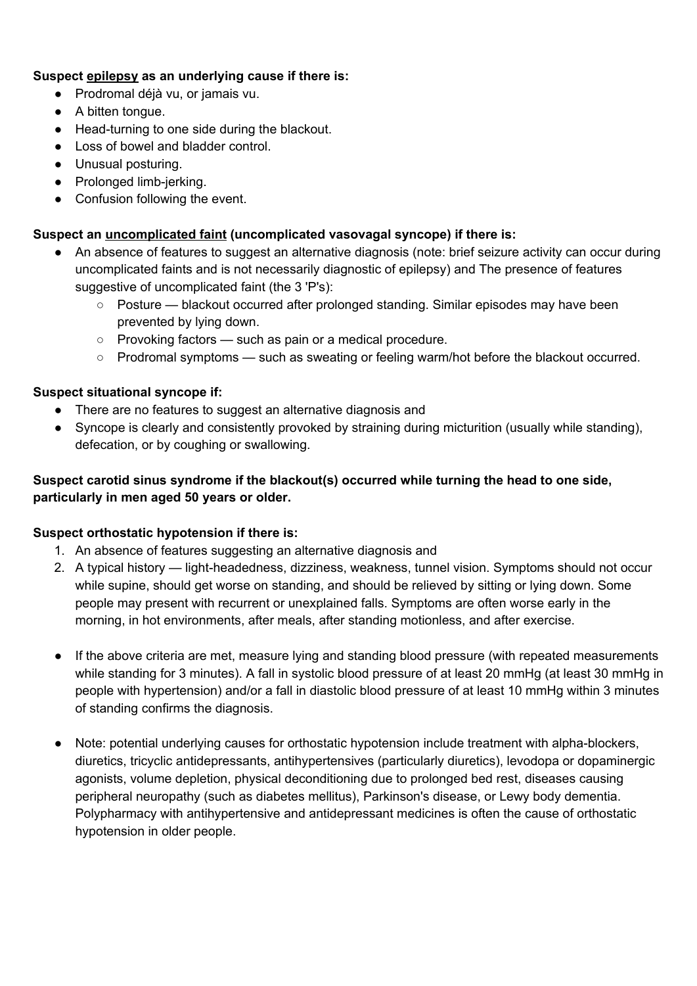### **Suspect epilepsy as an underlying cause if there is:**

- Prodromal déjà vu, or jamais vu.
- A bitten tongue.
- Head-turning to one side during the blackout.
- Loss of bowel and bladder control.
- Unusual posturing.
- Prolonged limb-jerking.
- Confusion following the event.

### **Suspect an uncomplicated faint (uncomplicated vasovagal syncope) if there is:**

- An absence of features to suggest an alternative diagnosis (note: brief seizure activity can occur during uncomplicated faints and is not necessarily diagnostic of epilepsy) and The presence of features suggestive of uncomplicated faint (the 3 'P's):
	- Posture blackout occurred after prolonged standing. Similar episodes may have been prevented by lying down.
	- Provoking factors such as pain or a medical procedure.
	- Prodromal symptoms such as sweating or feeling warm/hot before the blackout occurred.

#### **Suspect situational syncope if:**

- There are no features to suggest an alternative diagnosis and
- Syncope is clearly and consistently provoked by straining during micturition (usually while standing), defecation, or by coughing or swallowing.

## **Suspect carotid sinus syndrome if the blackout(s) occurred while turning the head to one side, particularly in men aged 50 years or older.**

### **Suspect orthostatic hypotension if there is:**

- 1. An absence of features suggesting an alternative diagnosis and
- 2. A typical history light-headedness, dizziness, weakness, tunnel vision. Symptoms should not occur while supine, should get worse on standing, and should be relieved by sitting or lying down. Some people may present with recurrent or unexplained falls. Symptoms are often worse early in the morning, in hot environments, after meals, after standing motionless, and after exercise.
- If the above criteria are met, measure lying and standing blood pressure (with repeated measurements while standing for 3 minutes). A fall in systolic blood pressure of at least 20 mmHg (at least 30 mmHg in people with hypertension) and/or a fall in diastolic blood pressure of at least 10 mmHg within 3 minutes of standing confirms the diagnosis.
- Note: potential underlying causes for orthostatic hypotension include treatment with alpha-blockers, diuretics, tricyclic antidepressants, antihypertensives (particularly diuretics), levodopa or dopaminergic agonists, volume depletion, physical deconditioning due to prolonged bed rest, diseases causing peripheral neuropathy (such as diabetes mellitus), Parkinson's disease, or Lewy body dementia. Polypharmacy with antihypertensive and antidepressant medicines is often the cause of orthostatic hypotension in older people.